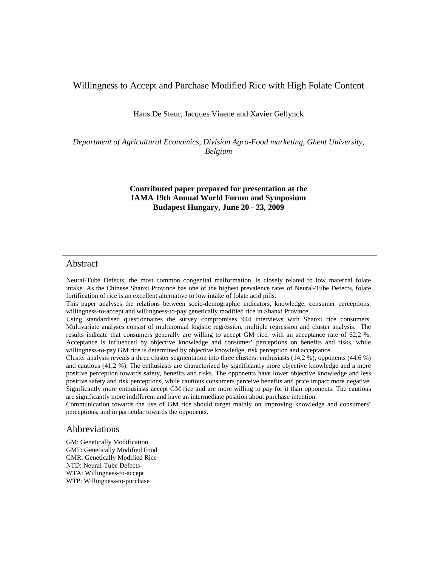Willingness to Accept and Purchase Modified Rice with High Folate Content

Hans De Steur, Jacques Viaene and Xavier Gellynck

*Department of Agricultural Economics, Division Agro-Food marketing, Ghent University, Belgium* 

# **Contributed paper prepared for presentation at the IAMA 19th Annual World Forum and Symposium Budapest Hungary, June 20 - 23, 2009**

# Abstract

Neural-Tube Defects, the most common congenital malformation, is closely related to low maternal folate intake. As the Chinese Shanxi Province has one of the highest prevalence rates of Neural-Tube Defects, folate fortification of rice is an excellent alternative to low intake of folate acid pills.

This paper analyses the relations between socio-demographic indicators, knowledge, consumer perceptions, willingness-to-accept and willingness-to-pay genetically modified rice in Shanxi Province.

Using standardised questionnaires the survey compromises 944 interviews with Shanxi rice consumers. Multivariate analyses consist of multinomial logistic regression, multiple regression and cluster analysis. The results indicate that consumers generally are willing to accept GM rice, with an acceptance rate of 62,2 %. Acceptance is influenced by objective knowledge and consumer' perceptions on benefits and risks, while willingness-to-pay GM rice is determined by objective knowledge, risk perception and acceptance.

Cluster analysis reveals a three cluster segmentation into three clusters: enthusiasts (14,2 %), opponents (44,6 %) and cautious (41,2 %). The enthusiasts are characterized by significantly more objective knowledge and a more positive perception towards safety, benefits and risks. The opponents have lower objective knowledge and less positive safety and risk perceptions, while cautious consumers perceive benefits and price impact more negative. Significantly more enthusiasts accept GM rice and are more willing to pay for it than opponents. The cautious are significantly more indifferent and have an intermediate position about purchase intention.

Communication towards the use of GM rice should target mainly on improving knowledge and consumers' perceptions, and in particular towards the opponents.

# Abbreviations

GM: Genetically Modification GMF: Genetically Modified Food GMR: Genetically Modified Rice NTD: Neural-Tube Defects WTA: Willingness-to-accept WTP: Willingness-to-purchase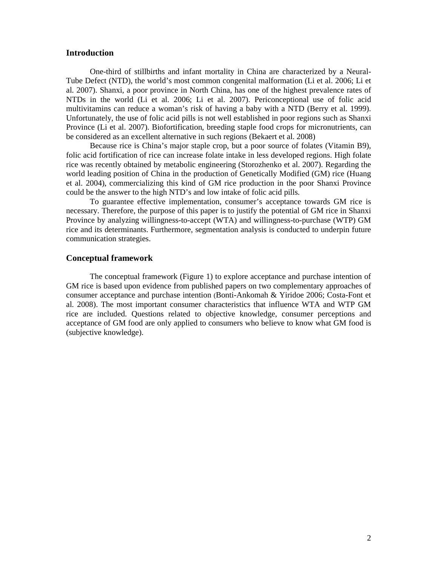### **Introduction**

One-third of stillbirths and infant mortality in China are characterized by a Neural-Tube Defect (NTD), the world's most common congenital malformation (Li et al. 2006; Li et al. 2007). Shanxi, a poor province in North China, has one of the highest prevalence rates of NTDs in the world (Li et al. 2006; Li et al. 2007). Periconceptional use of folic acid multivitamins can reduce a woman's risk of having a baby with a NTD (Berry et al. 1999). Unfortunately, the use of folic acid pills is not well established in poor regions such as Shanxi Province (Li et al. 2007). Biofortification, breeding staple food crops for micronutrients, can be considered as an excellent alternative in such regions (Bekaert et al. 2008)

Because rice is China's major staple crop, but a poor source of folates (Vitamin B9), folic acid fortification of rice can increase folate intake in less developed regions. High folate rice was recently obtained by metabolic engineering (Storozhenko et al. 2007). Regarding the world leading position of China in the production of Genetically Modified (GM) rice (Huang et al. 2004), commercializing this kind of GM rice production in the poor Shanxi Province could be the answer to the high NTD's and low intake of folic acid pills.

To guarantee effective implementation, consumer's acceptance towards GM rice is necessary. Therefore, the purpose of this paper is to justify the potential of GM rice in Shanxi Province by analyzing willingness-to-accept (WTA) and willingness-to-purchase (WTP) GM rice and its determinants. Furthermore, segmentation analysis is conducted to underpin future communication strategies.

## **Conceptual framework**

The conceptual framework (Figure 1) to explore acceptance and purchase intention of GM rice is based upon evidence from published papers on two complementary approaches of consumer acceptance and purchase intention (Bonti-Ankomah & Yiridoe 2006; Costa-Font et al. 2008). The most important consumer characteristics that influence WTA and WTP GM rice are included. Questions related to objective knowledge, consumer perceptions and acceptance of GM food are only applied to consumers who believe to know what GM food is (subjective knowledge).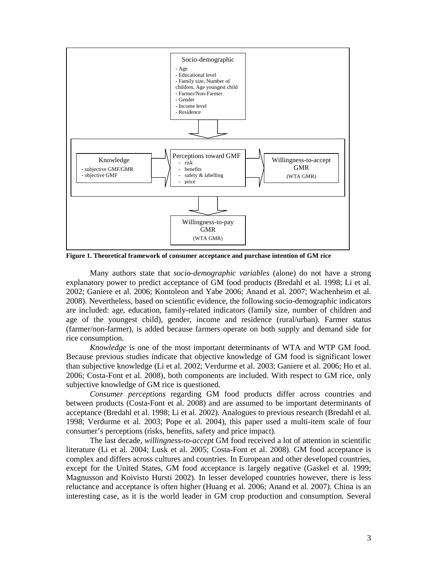

**Figure 1. Theoretical framework of consumer acceptance and purchase intention of GM rice** 

Many authors state that *socio-demographic variables* (alone) do not have a strong explanatory power to predict acceptance of GM food products (Bredahl et al. 1998; Li et al. 2002; Ganiere et al. 2006; Kontoleon and Yabe 2006; Anand et al. 2007; Wachenheim et al. 2008). Nevertheless, based on scientific evidence, the following socio-demographic indicators are included: age, education, family-related indicators (family size, number of children and age of the youngest child), gender, income and residence (rural/urban). Farmer status (farmer/non-farmer), is added because farmers operate on both supply and demand side for rice consumption.

*Knowledge* is one of the most important determinants of WTA and WTP GM food. Because previous studies indicate that objective knowledge of GM food is significant lower than subjective knowledge (Li et al. 2002; Verdurme et al. 2003; Ganiere et al. 2006; Ho et al. 2006; Costa-Font et al. 2008), both components are included. With respect to GM rice, only subjective knowledge of GM rice is questioned.

*Consumer perceptions* regarding GM food products differ across countries and between products (Costa-Font et al. 2008) and are assumed to be important determinants of acceptance (Bredahl et al. 1998; Li et al. 2002). Analogues to previous research (Bredahl et al. 1998; Verdurme et al. 2003; Pope et al. 2004), this paper used a multi-item scale of four consumer's perceptions (risks, benefits, safety and price impact).

The last decade, *willingness-to-accept* GM food received a lot of attention in scientific literature (Li et al. 2004; Lusk et al. 2005; Costa-Font et al. 2008). GM food acceptance is complex and differs across cultures and countries. In European and other developed countries, except for the United States, GM food acceptance is largely negative (Gaskel et al. 1999; Magnusson and Koivisto Hursti 2002). In lesser developed countries however, there is less reluctance and acceptance is often higher (Huang et al. 2006; Anand et al. 2007). China is an interesting case, as it is the world leader in GM crop production and consumption. Several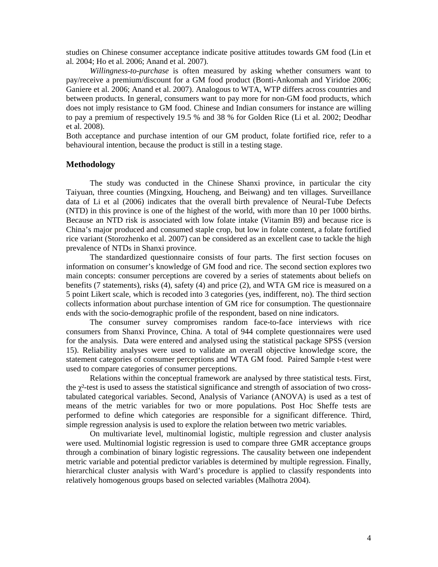studies on Chinese consumer acceptance indicate positive attitudes towards GM food (Lin et al. 2004; Ho et al. 2006; Anand et al. 2007).

*Willingness-to-purchase* is often measured by asking whether consumers want to pay/receive a premium/discount for a GM food product (Bonti-Ankomah and Yiridoe 2006; Ganiere et al. 2006; Anand et al. 2007). Analogous to WTA, WTP differs across countries and between products. In general, consumers want to pay more for non-GM food products, which does not imply resistance to GM food. Chinese and Indian consumers for instance are willing to pay a premium of respectively 19.5 % and 38 % for Golden Rice (Li et al. 2002; Deodhar et al. 2008).

Both acceptance and purchase intention of our GM product, folate fortified rice, refer to a behavioural intention, because the product is still in a testing stage.

## **Methodology**

The study was conducted in the Chinese Shanxi province, in particular the city Taiyuan, three counties (Mingxing, Houcheng, and Beiwang) and ten villages. Surveillance data of Li et al (2006) indicates that the overall birth prevalence of Neural-Tube Defects (NTD) in this province is one of the highest of the world, with more than 10 per 1000 births. Because an NTD risk is associated with low folate intake (Vitamin B9) and because rice is China's major produced and consumed staple crop, but low in folate content, a folate fortified rice variant (Storozhenko et al. 2007) can be considered as an excellent case to tackle the high prevalence of NTDs in Shanxi province.

The standardized questionnaire consists of four parts. The first section focuses on information on consumer's knowledge of GM food and rice. The second section explores two main concepts: consumer perceptions are covered by a series of statements about beliefs on benefits (7 statements), risks (4), safety (4) and price (2), and WTA GM rice is measured on a 5 point Likert scale, which is recoded into 3 categories (yes, indifferent, no). The third section collects information about purchase intention of GM rice for consumption. The questionnaire ends with the socio-demographic profile of the respondent, based on nine indicators.

The consumer survey compromises random face-to-face interviews with rice consumers from Shanxi Province, China. A total of 944 complete questionnaires were used for the analysis. Data were entered and analysed using the statistical package SPSS (version 15). Reliability analyses were used to validate an overall objective knowledge score, the statement categories of consumer perceptions and WTA GM food. Paired Sample t-test were used to compare categories of consumer perceptions.

Relations within the conceptual framework are analysed by three statistical tests. First, the  $\chi^2$ -test is used to assess the statistical significance and strength of association of two crosstabulated categorical variables. Second, Analysis of Variance (ANOVA) is used as a test of means of the metric variables for two or more populations. Post Hoc Sheffe tests are performed to define which categories are responsible for a significant difference. Third, simple regression analysis is used to explore the relation between two metric variables.

On multivariate level, multinomial logistic, multiple regression and cluster analysis were used. Multinomial logistic regression is used to compare three GMR acceptance groups through a combination of binary logistic regressions. The causality between one independent metric variable and potential predictor variables is determined by multiple regression. Finally, hierarchical cluster analysis with Ward's procedure is applied to classify respondents into relatively homogenous groups based on selected variables (Malhotra 2004).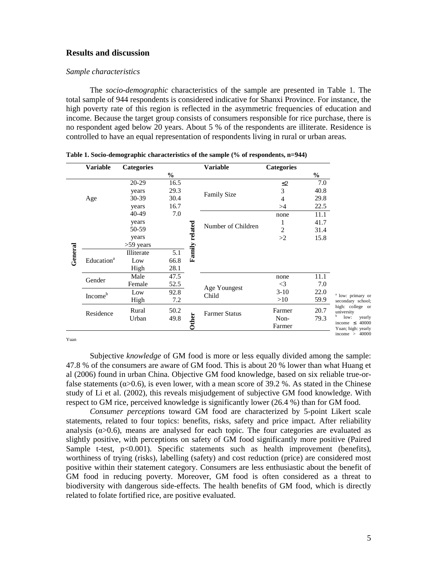# **Results and discussion**

#### *Sample characteristics*

The *socio-demographic* characteristics of the sample are presented in Table 1. The total sample of 944 respondents is considered indicative for Shanxi Province. For instance, the high poverty rate of this region is reflected in the asymmetric frequencies of education and income. Because the target group consists of consumers responsible for rice purchase, there is no respondent aged below 20 years. About 5 % of the respondents are illiterate. Residence is controlled to have an equal representation of respondents living in rural or urban areas.

| Variable                          | <b>Categories</b> |               |                | <b>Variable</b>      | <b>Categories</b> |               |                                           |
|-----------------------------------|-------------------|---------------|----------------|----------------------|-------------------|---------------|-------------------------------------------|
|                                   |                   | $\frac{0}{0}$ |                |                      |                   | $\frac{0}{0}$ |                                           |
|                                   | 20-29             | 16.5          |                |                      | $\leq$ 2          | 7.0           |                                           |
|                                   | years             | 29.3          |                | <b>Family Size</b>   | 3                 | 40.8          |                                           |
| Age                               | 30-39             | 30.4          |                |                      | 4                 | 29.8          |                                           |
|                                   | years             | 16.7          |                |                      | >4                | 22.5          |                                           |
|                                   | 40-49             | 7.0           |                |                      | none              | 11.1          |                                           |
|                                   | years             |               |                | Number of Children   |                   | 41.7          |                                           |
|                                   | 50-59             |               |                |                      | 2                 | 31.4          |                                           |
|                                   | years             |               |                |                      | >2                | 15.8          |                                           |
|                                   | $>59$ years       |               |                |                      |                   |               |                                           |
| General<br>Education <sup>a</sup> | Illiterate        | 5.1           | Family related |                      |                   |               |                                           |
|                                   | Low               | 66.8          |                |                      |                   |               |                                           |
|                                   | High              | 28.1          |                |                      |                   |               |                                           |
| Gender                            | Male              | 47.5          |                |                      | none              | 11.1          |                                           |
|                                   | Female            | 52.5          |                | Age Youngest         | $\leq$ 3          | 7.0           |                                           |
| Income <sup>b</sup>               | Low               | 92.8          |                | Child                | $3-10$            | 22.0          | <sup>a</sup> low: primary or              |
|                                   | High              | 7.2           |                |                      | >10               | 59.9          | secondary school;                         |
| Residence                         | Rural             | 50.2          |                | <b>Farmer Status</b> | Farmer            | 20.7          | high: college or<br>university            |
|                                   | Urban             | 49.8          |                |                      | Non-              | 79.3          | b<br>low:                                 |
|                                   |                   |               | Other          |                      | Farmer            |               | income $\leq 40000$<br>Yuan; high: yearly |
|                                   |                   |               |                |                      |                   |               | income $> 40000$                          |

|  |  | Table 1. Socio-demographic characteristics of the sample (% of respondents, n=944) |
|--|--|------------------------------------------------------------------------------------|
|  |  |                                                                                    |

 $\overline{a}$ Yuan

Subjective *knowledge* of GM food is more or less equally divided among the sample: 47.8 % of the consumers are aware of GM food. This is about 20 % lower than what Huang et al (2006) found in urban China. Objective GM food knowledge, based on six reliable true-orfalse statements ( $\alpha$ >0.6), is even lower, with a mean score of 39.2 %. As stated in the Chinese study of Li et al. (2002), this reveals misjudgement of subjective GM food knowledge. With respect to GM rice, perceived knowledge is significantly lower (26.4 %) than for GM food.

*Consumer perceptions* toward GM food are characterized by 5-point Likert scale statements, related to four topics: benefits, risks, safety and price impact. After reliability analysis ( $\alpha$ >0.6), means are analysed for each topic. The four categories are evaluated as slightly positive, with perceptions on safety of GM food significantly more positive (Paired Sample t-test, p<0.001). Specific statements such as health improvement (benefits), worthiness of trying (risks), labelling (safety) and cost reduction (price) are considered most positive within their statement category. Consumers are less enthusiastic about the benefit of GM food in reducing poverty. Moreover, GM food is often considered as a threat to biodiversity with dangerous side-effects. The health benefits of GM food, which is directly related to folate fortified rice, are positive evaluated.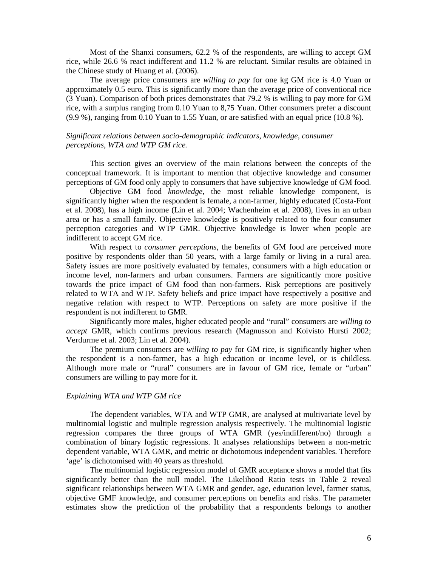Most of the Shanxi consumers, 62.2 % of the respondents, are willing to accept GM rice, while 26.6 % react indifferent and 11.2 % are reluctant. Similar results are obtained in the Chinese study of Huang et al. (2006).

The average price consumers are *willing to pay* for one kg GM rice is 4.0 Yuan or approximately 0.5 euro. This is significantly more than the average price of conventional rice (3 Yuan). Comparison of both prices demonstrates that 79.2 % is willing to pay more for GM rice, with a surplus ranging from 0.10 Yuan to 8,75 Yuan. Other consumers prefer a discount (9.9 %), ranging from 0.10 Yuan to 1.55 Yuan, or are satisfied with an equal price (10.8 %).

### *Significant relations between socio-demographic indicators, knowledge, consumer perceptions, WTA and WTP GM rice.*

This section gives an overview of the main relations between the concepts of the conceptual framework. It is important to mention that objective knowledge and consumer perceptions of GM food only apply to consumers that have subjective knowledge of GM food.

Objective GM food *knowledge*, the most reliable knowledge component, is significantly higher when the respondent is female, a non-farmer, highly educated (Costa-Font et al. 2008), has a high income (Lin et al. 2004; Wachenheim et al. 2008), lives in an urban area or has a small family. Objective knowledge is positively related to the four consumer perception categories and WTP GMR. Objective knowledge is lower when people are indifferent to accept GM rice.

With respect to *consumer perceptions*, the benefits of GM food are perceived more positive by respondents older than 50 years, with a large family or living in a rural area. Safety issues are more positively evaluated by females, consumers with a high education or income level, non-farmers and urban consumers. Farmers are significantly more positive towards the price impact of GM food than non-farmers. Risk perceptions are positively related to WTA and WTP. Safety beliefs and price impact have respectively a positive and negative relation with respect to WTP. Perceptions on safety are more positive if the respondent is not indifferent to GMR.

Significantly more males, higher educated people and "rural" consumers are *willing to accept* GMR, which confirms previous research (Magnusson and Koivisto Hursti 2002; Verdurme et al. 2003; Lin et al. 2004).

The premium consumers are *willing to pay* for GM rice, is significantly higher when the respondent is a non-farmer, has a high education or income level, or is childless. Although more male or "rural" consumers are in favour of GM rice, female or "urban" consumers are willing to pay more for it.

#### *Explaining WTA and WTP GM rice*

The dependent variables, WTA and WTP GMR, are analysed at multivariate level by multinomial logistic and multiple regression analysis respectively. The multinomial logistic regression compares the three groups of WTA GMR (yes/indifferent/no) through a combination of binary logistic regressions. It analyses relationships between a non-metric dependent variable, WTA GMR, and metric or dichotomous independent variables. Therefore 'age' is dichotomised with 40 years as threshold.

The multinomial logistic regression model of GMR acceptance shows a model that fits significantly better than the null model. The Likelihood Ratio tests in Table 2 reveal significant relationships between WTA GMR and gender, age, education level, farmer status, objective GMF knowledge, and consumer perceptions on benefits and risks. The parameter estimates show the prediction of the probability that a respondents belongs to another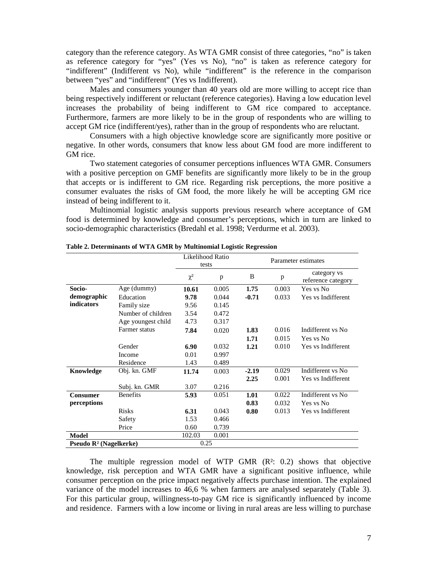category than the reference category. As WTA GMR consist of three categories, "no" is taken as reference category for "yes" (Yes vs No), "no" is taken as reference category for "indifferent" (Indifferent vs No), while "indifferent" is the reference in the comparison between "yes" and "indifferent" (Yes vs Indifferent).

Males and consumers younger than 40 years old are more willing to accept rice than being respectively indifferent or reluctant (reference categories). Having a low education level increases the probability of being indifferent to GM rice compared to acceptance. Furthermore, farmers are more likely to be in the group of respondents who are willing to accept GM rice (indifferent/yes), rather than in the group of respondents who are reluctant.

Consumers with a high objective knowledge score are significantly more positive or negative. In other words, consumers that know less about GM food are more indifferent to GM rice.

Two statement categories of consumer perceptions influences WTA GMR. Consumers with a positive perception on GMF benefits are significantly more likely to be in the group that accepts or is indifferent to GM rice. Regarding risk perceptions, the more positive a consumer evaluates the risks of GM food, the more likely he will be accepting GM rice instead of being indifferent to it.

Multinomial logistic analysis supports previous research where acceptance of GM food is determined by knowledge and consumer's perceptions, which in turn are linked to socio-demographic characteristics (Bredahl et al. 1998; Verdurme et al. 2003).

|                                    |                    | Likelihood Ratio<br>tests |       | Parameter estimates |       |                                   |  |
|------------------------------------|--------------------|---------------------------|-------|---------------------|-------|-----------------------------------|--|
|                                    |                    | $\chi^2$                  | p     | B                   | p     | category vs<br>reference category |  |
| Socio-                             | Age (dummy)        | 10.61                     | 0.005 | 1.75                | 0.003 | Yes vs No                         |  |
| demographic                        | Education          | 9.78                      | 0.044 | $-0.71$             | 0.033 | Yes vs Indifferent                |  |
| indicators                         | Family size        | 9.56                      | 0.145 |                     |       |                                   |  |
|                                    | Number of children | 3.54                      | 0.472 |                     |       |                                   |  |
|                                    | Age youngest child | 4.73                      | 0.317 |                     |       |                                   |  |
|                                    | Farmer status      | 7.84                      | 0.020 | 1.83                | 0.016 | Indifferent vs No                 |  |
|                                    |                    |                           |       | 1.71                | 0.015 | Yes vs No                         |  |
|                                    | Gender             | 6.90                      | 0.032 | 1.21                | 0.010 | Yes vs Indifferent                |  |
|                                    | Income             | 0.01                      | 0.997 |                     |       |                                   |  |
|                                    | Residence          | 1.43                      | 0.489 |                     |       |                                   |  |
| Knowledge                          | Obj. kn. GMF       | 11.74                     | 0.003 | $-2.19$             | 0.029 | Indifferent vs No                 |  |
|                                    |                    |                           |       | 2.25                | 0.001 | Yes vs Indifferent                |  |
|                                    | Subj. kn. GMR      | 3.07                      | 0.216 |                     |       |                                   |  |
| Consumer                           | <b>Benefits</b>    | 5.93                      | 0.051 | 1.01                | 0.022 | Indifferent vs No                 |  |
| perceptions                        |                    |                           |       | 0.83                | 0.032 | Yes vs No                         |  |
|                                    | <b>Risks</b>       | 6.31                      | 0.043 | 0.80                | 0.013 | Yes vs Indifferent                |  |
|                                    | Safety             | 1.53                      | 0.466 |                     |       |                                   |  |
|                                    | Price              | 0.60                      | 0.739 |                     |       |                                   |  |
| Model                              |                    | 102.03                    | 0.001 |                     |       |                                   |  |
| Pseudo $\mathbb{R}^2$ (Nagelkerke) |                    | 0.25                      |       |                     |       |                                   |  |

**Table 2. Determinants of WTA GMR by Multinomial Logistic Regression** 

The multiple regression model of WTP GMR (R²: 0.2) shows that objective knowledge, risk perception and WTA GMR have a significant positive influence, while consumer perception on the price impact negatively affects purchase intention. The explained variance of the model increases to 46,6 % when farmers are analysed separately (Table 3). For this particular group, willingness-to-pay GM rice is significantly influenced by income and residence. Farmers with a low income or living in rural areas are less willing to purchase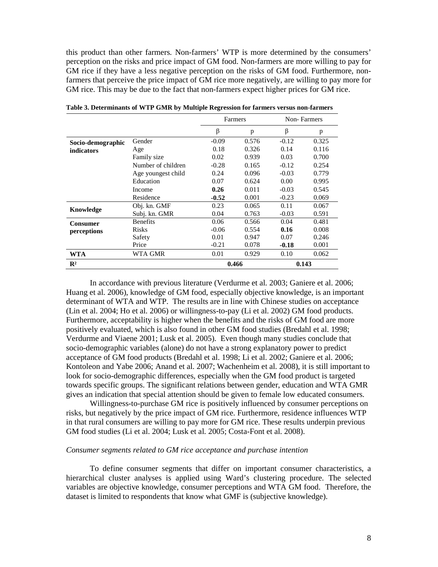this product than other farmers. Non-farmers' WTP is more determined by the consumers' perception on the risks and price impact of GM food. Non-farmers are more willing to pay for GM rice if they have a less negative perception on the risks of GM food. Furthermore, nonfarmers that perceive the price impact of GM rice more negatively, are willing to pay more for GM rice. This may be due to the fact that non-farmers expect higher prices for GM rice.

|                   |                    | Farmers |       |         | Non-Farmers |
|-------------------|--------------------|---------|-------|---------|-------------|
|                   |                    | β       | p     | β       | p           |
| Socio-demographic | Gender             | $-0.09$ | 0.576 | $-0.12$ | 0.325       |
| indicators        | Age                | 0.18    | 0.326 | 0.14    | 0.116       |
|                   | Family size        | 0.02    | 0.939 | 0.03    | 0.700       |
|                   | Number of children | $-0.28$ | 0.165 | $-0.12$ | 0.254       |
|                   | Age youngest child | 0.24    | 0.096 | $-0.03$ | 0.779       |
|                   | Education          | 0.07    | 0.624 | 0.00    | 0.995       |
|                   | Income             | 0.26    | 0.011 | $-0.03$ | 0.545       |
|                   | Residence          | $-0.52$ | 0.001 | $-0.23$ | 0.069       |
| Knowledge         | Obj. kn. GMF       | 0.23    | 0.065 | 0.11    | 0.067       |
|                   | Subj. kn. GMR      | 0.04    | 0.763 | $-0.03$ | 0.591       |
| Consumer          | <b>Benefits</b>    | 0.06    | 0.566 | 0.04    | 0.481       |
| perceptions       | <b>Risks</b>       | $-0.06$ | 0.554 | 0.16    | 0.008       |
|                   | Safety             | 0.01    | 0.947 | 0.07    | 0.246       |
|                   | Price              | $-0.21$ | 0.078 | $-0.18$ | 0.001       |
| WTA               | WTA GMR            | 0.01    | 0.929 | 0.10    | 0.062       |
| $\mathbb{R}^2$    |                    | 0.466   |       | 0.143   |             |

**Table 3. Determinants of WTP GMR by Multiple Regression for farmers versus non-farmers** 

In accordance with previous literature (Verdurme et al. 2003; Ganiere et al. 2006; Huang et al. 2006), knowledge of GM food, especially objective knowledge, is an important determinant of WTA and WTP. The results are in line with Chinese studies on acceptance (Lin et al. 2004; Ho et al. 2006) or willingness-to-pay (Li et al. 2002) GM food products. Furthermore, acceptability is higher when the benefits and the risks of GM food are more positively evaluated, which is also found in other GM food studies (Bredahl et al. 1998; Verdurme and Viaene 2001; Lusk et al. 2005). Even though many studies conclude that socio-demographic variables (alone) do not have a strong explanatory power to predict acceptance of GM food products (Bredahl et al. 1998; Li et al. 2002; Ganiere et al. 2006; Kontoleon and Yabe 2006; Anand et al. 2007; Wachenheim et al. 2008), it is still important to look for socio-demographic differences, especially when the GM food product is targeted towards specific groups. The significant relations between gender, education and WTA GMR gives an indication that special attention should be given to female low educated consumers.

Willingness-to-purchase GM rice is positively influenced by consumer perceptions on risks, but negatively by the price impact of GM rice. Furthermore, residence influences WTP in that rural consumers are willing to pay more for GM rice. These results underpin previous GM food studies (Li et al. 2004; Lusk et al. 2005; Costa-Font et al. 2008).

#### *Consumer segments related to GM rice acceptance and purchase intention*

To define consumer segments that differ on important consumer characteristics, a hierarchical cluster analyses is applied using Ward's clustering procedure. The selected variables are objective knowledge, consumer perceptions and WTA GM food. Therefore, the dataset is limited to respondents that know what GMF is (subjective knowledge).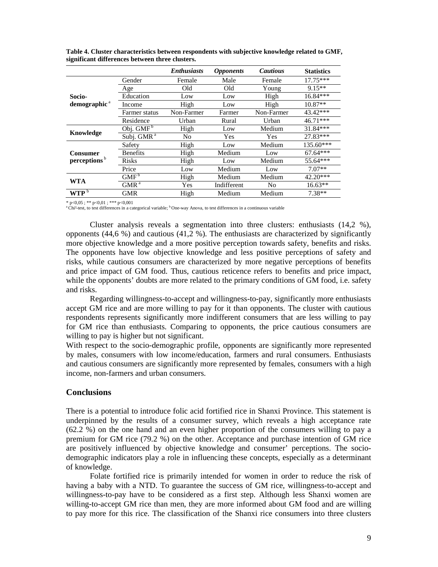|                          |                        | <b>Enthusiasts</b> | <i><b>Opponents</b></i> | <b>Cautious</b> | <b>Statistics</b> |
|--------------------------|------------------------|--------------------|-------------------------|-----------------|-------------------|
|                          | Gender                 | Female             | Male                    | Female          | $17.75***$        |
| Socio-                   | Age                    | Old                | Old                     | Young           | $9.15**$          |
|                          | Education              | Low                | Low                     | High            | 16.84***          |
| demographic <sup>a</sup> | Income                 | High               | Low                     | High            | $10.87**$         |
|                          | Farmer status          | Non-Farmer         | Farmer                  | Non-Farmer      | 43.42***          |
|                          | Residence              | Urban              | Rural                   | Urban           | $46.71***$        |
| Knowledge                | Obj. $GMF^b$           | High               | Low                     | Medium          | 31.84***          |
|                          | Subj. GMR <sup>a</sup> | N <sub>0</sub>     | Yes                     | Yes             | 27.83***          |
|                          | Safety                 | High               | Low                     | Medium          | $135.60***$       |
| Consumer                 | <b>Benefits</b>        | High               | Medium                  | Low             | $67.64***$        |
| perceptions <sup>b</sup> | <b>Risks</b>           | High               | Low                     | Medium          | 55.64***          |
|                          | Price                  | Low                | Medium                  | Low             | $7.07**$          |
| WTA                      | GMF <sup>b</sup>       | High               | Medium                  | Medium          | 42.20***          |
|                          | GMR <sup>a</sup>       | Yes                | Indifferent             | N <sub>0</sub>  | $16.63**$         |
| $WTP^b$                  | GMR                    | High               | Medium                  | Medium          | $7.38**$          |

**Table 4. Cluster characteristics between respondents with subjective knowledge related to GMF, significant differences between three clusters.** 

 $* p < 0.05$ ;  $* p < 0.01$ ;  $* * p < 0.001$ 

<sup>a</sup>Chi<sup>2</sup>-test, to test differences in a categorical variable; <sup>b</sup>One-way Anova, to test differences in a continuous variable

Cluster analysis reveals a segmentation into three clusters: enthusiasts (14,2 %), opponents  $(44.6\%)$  and cautious  $(41.2\%)$ . The enthusiasts are characterized by significantly more objective knowledge and a more positive perception towards safety, benefits and risks. The opponents have low objective knowledge and less positive perceptions of safety and risks, while cautious consumers are characterized by more negative perceptions of benefits and price impact of GM food. Thus, cautious reticence refers to benefits and price impact, while the opponents' doubts are more related to the primary conditions of GM food, i.e. safety and risks.

Regarding willingness-to-accept and willingness-to-pay, significantly more enthusiasts accept GM rice and are more willing to pay for it than opponents. The cluster with cautious respondents represents significantly more indifferent consumers that are less willing to pay for GM rice than enthusiasts. Comparing to opponents, the price cautious consumers are willing to pay is higher but not significant.

With respect to the socio-demographic profile, opponents are significantly more represented by males, consumers with low income/education, farmers and rural consumers. Enthusiasts and cautious consumers are significantly more represented by females, consumers with a high income, non-farmers and urban consumers.

#### **Conclusions**

There is a potential to introduce folic acid fortified rice in Shanxi Province. This statement is underpinned by the results of a consumer survey, which reveals a high acceptance rate (62.2 %) on the one hand and an even higher proportion of the consumers willing to pay a premium for GM rice (79.2 %) on the other. Acceptance and purchase intention of GM rice are positively influenced by objective knowledge and consumer' perceptions. The sociodemographic indicators play a role in influencing these concepts, especially as a determinant of knowledge.

Folate fortified rice is primarily intended for women in order to reduce the risk of having a baby with a NTD. To guarantee the success of GM rice, willingness-to-accept and willingness-to-pay have to be considered as a first step. Although less Shanxi women are willing-to-accept GM rice than men, they are more informed about GM food and are willing to pay more for this rice. The classification of the Shanxi rice consumers into three clusters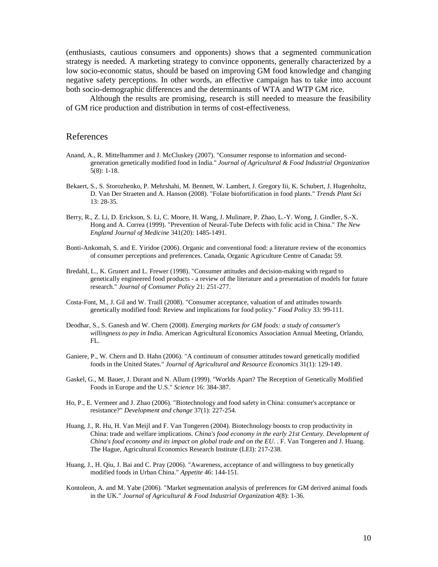(enthusiasts, cautious consumers and opponents) shows that a segmented communication strategy is needed. A marketing strategy to convince opponents, generally characterized by a low socio-economic status, should be based on improving GM food knowledge and changing negative safety perceptions. In other words, an effective campaign has to take into account both socio-demographic differences and the determinants of WTA and WTP GM rice.

Although the results are promising, research is still needed to measure the feasibility of GM rice production and distribution in terms of cost-effectiveness.

### References

- Anand, A., R. Mittelhammer and J. McCluskey (2007). "Consumer response to information and secondgeneration genetically modified food in India." *Journal of Agricultural & Food Industrial Organization* 5(8): 1-18.
- Bekaert, S., S. Storozhenko, P. Mehrshahi, M. Bennett, W. Lambert, J. Gregory Iii, K. Schubert, J. Hugenholtz, D. Van Der Straeten and A. Hanson (2008). "Folate biofortification in food plants." *Trends Plant Sci* 13: 28-35.
- Berry, R., Z. Li, D. Erickson, S. Li, C. Moore, H. Wang, J. Mulinare, P. Zhao, L.-Y. Wong, J. Gindler, S.-X. Hong and A. Correa (1999). "Prevention of Neural-Tube Defects with folic acid in China." *The New England Journal of Medicine* 341(20): 1485-1491.
- Bonti-Ankomah, S. and E. Yiridoe (2006). Organic and conventional food: a literature review of the economics of consumer perceptions and preferences. Canada, Organic Agriculture Centre of Canada**:** 59.
- Bredahl, L., K. Grunert and L. Frewer (1998). "Consumer attitudes and decision-making with regard to genetically engineered food products - a review of the literature and a presentation of models for future research." *Journal of Consumer Policy* 21: 251-277.
- Costa-Font, M., J. Gil and W. Traill (2008). "Consumer acceptance, valuation of and attitudes towards genetically modified food: Review and implications for food policy." *Food Policy* 33: 99-111.
- Deodhar, S., S. Ganesh and W. Chern (2008). *Emerging markets for GM foods: a study of consumer's willingness to pay in India*. American Agricultural Economics Association Annual Meeting, Orlando,  $FI<sub>1</sub>$
- Ganiere, P., W. Chern and D. Hahn (2006). "A continuum of consumer attitudes toward genetically modified foods in the United States." *Journal of Agricultural and Resource Economics* 31(1): 129-149.
- Gaskel, G., M. Bauer, J. Durant and N. Allum (1999). "Worlds Apart? The Reception of Genetically Modified Foods in Europe and the U.S." *Science* 16: 384-387.
- Ho, P., E. Vermeer and J. Zhao (2006). "Biotechnology and food safety in China: consumer's acceptance or resistance?" *Development and change* 37(1): 227-254.
- Huang, J., R. Hu, H. Van Meijl and F. Van Tongeren (2004). Biotechnology boosts to crop productivity in China: trade and welfare implications. *China's food economy in the early 21st Century. Development of China's food economy and its impact on global trade and on the EU.* . F. Van Tongeren and J. Huang. The Hague, Agricultural Economics Research Institute (LEI): 217-238.
- Huang, J., H. Qiu, J. Bai and C. Pray (2006). "Awareness, acceptance of and willingness to buy genetically modified foods in Urban China." *Appetite* 46: 144-151.
- Kontoleon, A. and M. Yabe (2006). "Market segmentation analysis of preferences for GM derived animal foods in the UK." *Journal of Agricultural & Food Industrial Organization* 4(8): 1-36.